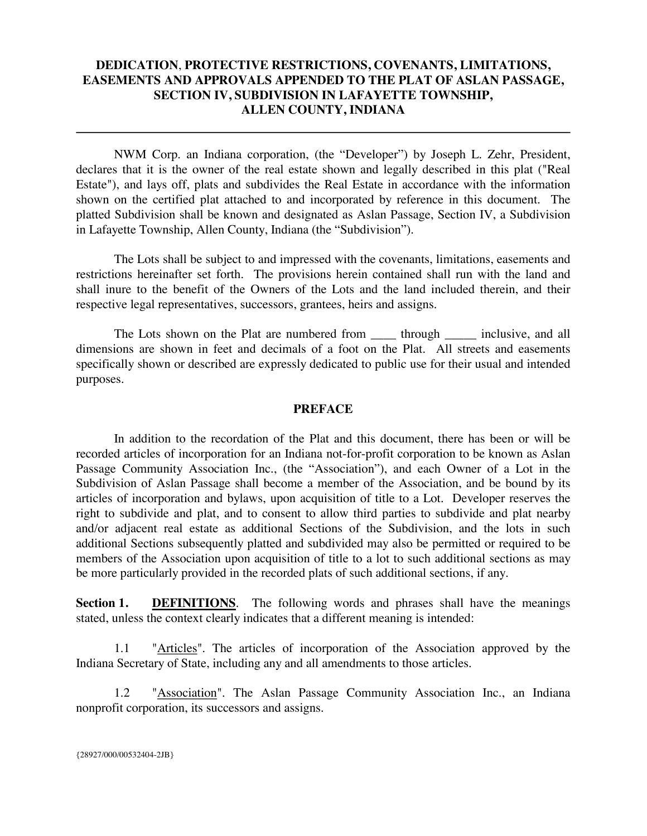# **DEDICATION**, **PROTECTIVE RESTRICTIONS, COVENANTS, LIMITATIONS, EASEMENTS AND APPROVALS APPENDED TO THE PLAT OF ASLAN PASSAGE, SECTION IV, SUBDIVISION IN LAFAYETTE TOWNSHIP, ALLEN COUNTY, INDIANA**

NWM Corp. an Indiana corporation, (the "Developer") by Joseph L. Zehr, President, declares that it is the owner of the real estate shown and legally described in this plat ("Real Estate"), and lays off, plats and subdivides the Real Estate in accordance with the information shown on the certified plat attached to and incorporated by reference in this document. The platted Subdivision shall be known and designated as Aslan Passage, Section IV, a Subdivision in Lafayette Township, Allen County, Indiana (the "Subdivision").

The Lots shall be subject to and impressed with the covenants, limitations, easements and restrictions hereinafter set forth. The provisions herein contained shall run with the land and shall inure to the benefit of the Owners of the Lots and the land included therein, and their respective legal representatives, successors, grantees, heirs and assigns.

The Lots shown on the Plat are numbered from <u>each</u> through electronicity inclusive, and all dimensions are shown in feet and decimals of a foot on the Plat. All streets and easements specifically shown or described are expressly dedicated to public use for their usual and intended purposes.

### **PREFACE**

In addition to the recordation of the Plat and this document, there has been or will be recorded articles of incorporation for an Indiana not-for-profit corporation to be known as Aslan Passage Community Association Inc., (the "Association"), and each Owner of a Lot in the Subdivision of Aslan Passage shall become a member of the Association, and be bound by its articles of incorporation and bylaws, upon acquisition of title to a Lot. Developer reserves the right to subdivide and plat, and to consent to allow third parties to subdivide and plat nearby and/or adjacent real estate as additional Sections of the Subdivision, and the lots in such additional Sections subsequently platted and subdivided may also be permitted or required to be members of the Association upon acquisition of title to a lot to such additional sections as may be more particularly provided in the recorded plats of such additional sections, if any.

**Section 1. DEFINITIONS**. The following words and phrases shall have the meanings stated, unless the context clearly indicates that a different meaning is intended:

1.1 "Articles". The articles of incorporation of the Association approved by the Indiana Secretary of State, including any and all amendments to those articles.

1.2 "Association". The Aslan Passage Community Association Inc., an Indiana nonprofit corporation, its successors and assigns.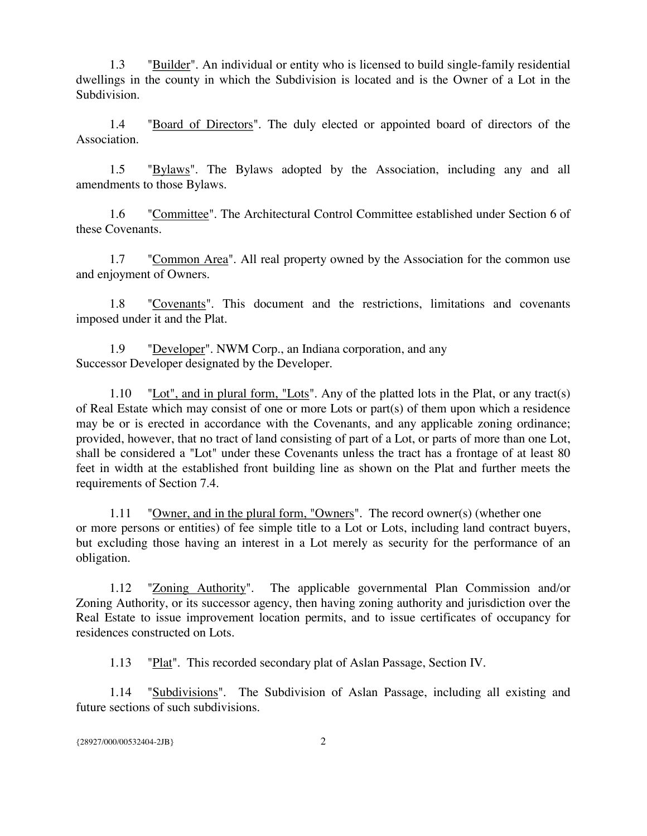1.3 "Builder". An individual or entity who is licensed to build single-family residential dwellings in the county in which the Subdivision is located and is the Owner of a Lot in the Subdivision.

1.4 "Board of Directors". The duly elected or appointed board of directors of the Association.

1.5 "Bylaws". The Bylaws adopted by the Association, including any and all amendments to those Bylaws.

1.6 "Committee". The Architectural Control Committee established under Section 6 of these Covenants.

1.7 "Common Area". All real property owned by the Association for the common use and enjoyment of Owners.

1.8 "Covenants". This document and the restrictions, limitations and covenants imposed under it and the Plat.

1.9 "Developer". NWM Corp., an Indiana corporation, and any Successor Developer designated by the Developer.

1.10 "Lot", and in plural form, "Lots". Any of the platted lots in the Plat, or any tract(s) of Real Estate which may consist of one or more Lots or part(s) of them upon which a residence may be or is erected in accordance with the Covenants, and any applicable zoning ordinance; provided, however, that no tract of land consisting of part of a Lot, or parts of more than one Lot, shall be considered a "Lot" under these Covenants unless the tract has a frontage of at least 80 feet in width at the established front building line as shown on the Plat and further meets the requirements of Section 7.4.

1.11 "Owner, and in the plural form, "Owners". The record owner(s) (whether one or more persons or entities) of fee simple title to a Lot or Lots, including land contract buyers, but excluding those having an interest in a Lot merely as security for the performance of an obligation.

1.12 "Zoning Authority". The applicable governmental Plan Commission and/or Zoning Authority, or its successor agency, then having zoning authority and jurisdiction over the Real Estate to issue improvement location permits, and to issue certificates of occupancy for residences constructed on Lots.

1.13 "Plat". This recorded secondary plat of Aslan Passage, Section IV.

1.14 "Subdivisions". The Subdivision of Aslan Passage, including all existing and future sections of such subdivisions.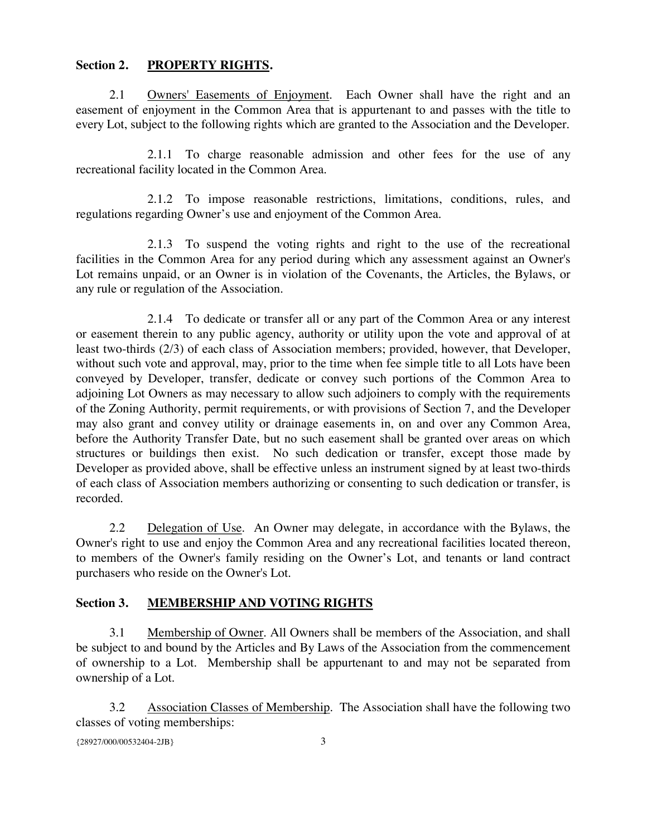## **Section 2. PROPERTY RIGHTS.**

2.1 Owners' Easements of Enjoyment. Each Owner shall have the right and an easement of enjoyment in the Common Area that is appurtenant to and passes with the title to every Lot, subject to the following rights which are granted to the Association and the Developer.

2.1.1 To charge reasonable admission and other fees for the use of any recreational facility located in the Common Area.

2.1.2 To impose reasonable restrictions, limitations, conditions, rules, and regulations regarding Owner's use and enjoyment of the Common Area.

2.1.3 To suspend the voting rights and right to the use of the recreational facilities in the Common Area for any period during which any assessment against an Owner's Lot remains unpaid, or an Owner is in violation of the Covenants, the Articles, the Bylaws, or any rule or regulation of the Association.

2.1.4 To dedicate or transfer all or any part of the Common Area or any interest or easement therein to any public agency, authority or utility upon the vote and approval of at least two-thirds (2/3) of each class of Association members; provided, however, that Developer, without such vote and approval, may, prior to the time when fee simple title to all Lots have been conveyed by Developer, transfer, dedicate or convey such portions of the Common Area to adjoining Lot Owners as may necessary to allow such adjoiners to comply with the requirements of the Zoning Authority, permit requirements, or with provisions of Section 7, and the Developer may also grant and convey utility or drainage easements in, on and over any Common Area, before the Authority Transfer Date, but no such easement shall be granted over areas on which structures or buildings then exist. No such dedication or transfer, except those made by Developer as provided above, shall be effective unless an instrument signed by at least two-thirds of each class of Association members authorizing or consenting to such dedication or transfer, is recorded.

2.2 Delegation of Use. An Owner may delegate, in accordance with the Bylaws, the Owner's right to use and enjoy the Common Area and any recreational facilities located thereon, to members of the Owner's family residing on the Owner's Lot, and tenants or land contract purchasers who reside on the Owner's Lot.

# **Section 3. MEMBERSHIP AND VOTING RIGHTS**

3.1 Membership of Owner. All Owners shall be members of the Association, and shall be subject to and bound by the Articles and By Laws of the Association from the commencement of ownership to a Lot. Membership shall be appurtenant to and may not be separated from ownership of a Lot.

3.2 Association Classes of Membership. The Association shall have the following two classes of voting memberships: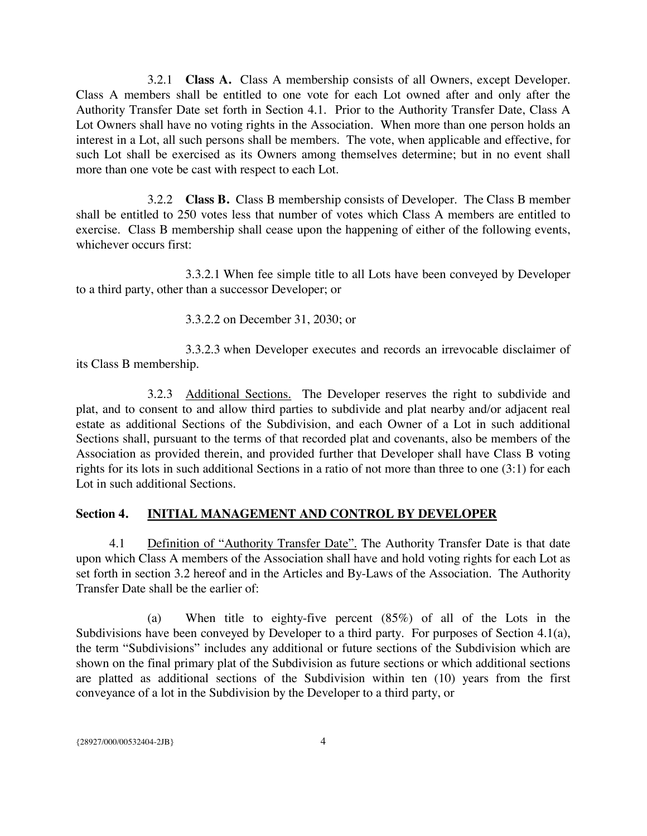3.2.1 **Class A.** Class A membership consists of all Owners, except Developer. Class A members shall be entitled to one vote for each Lot owned after and only after the Authority Transfer Date set forth in Section 4.1. Prior to the Authority Transfer Date, Class A Lot Owners shall have no voting rights in the Association. When more than one person holds an interest in a Lot, all such persons shall be members. The vote, when applicable and effective, for such Lot shall be exercised as its Owners among themselves determine; but in no event shall more than one vote be cast with respect to each Lot.

3.2.2 **Class B.** Class B membership consists of Developer. The Class B member shall be entitled to 250 votes less that number of votes which Class A members are entitled to exercise. Class B membership shall cease upon the happening of either of the following events, whichever occurs first:

3.3.2.1 When fee simple title to all Lots have been conveyed by Developer to a third party, other than a successor Developer; or

3.3.2.2 on December 31, 2030; or

3.3.2.3 when Developer executes and records an irrevocable disclaimer of its Class B membership.

3.2.3 Additional Sections. The Developer reserves the right to subdivide and plat, and to consent to and allow third parties to subdivide and plat nearby and/or adjacent real estate as additional Sections of the Subdivision, and each Owner of a Lot in such additional Sections shall, pursuant to the terms of that recorded plat and covenants, also be members of the Association as provided therein, and provided further that Developer shall have Class B voting rights for its lots in such additional Sections in a ratio of not more than three to one (3:1) for each Lot in such additional Sections.

# **Section 4. INITIAL MANAGEMENT AND CONTROL BY DEVELOPER**

4.1 Definition of "Authority Transfer Date". The Authority Transfer Date is that date upon which Class A members of the Association shall have and hold voting rights for each Lot as set forth in section 3.2 hereof and in the Articles and By-Laws of the Association. The Authority Transfer Date shall be the earlier of:

(a) When title to eighty-five percent (85%) of all of the Lots in the Subdivisions have been conveyed by Developer to a third party. For purposes of Section 4.1(a), the term "Subdivisions" includes any additional or future sections of the Subdivision which are shown on the final primary plat of the Subdivision as future sections or which additional sections are platted as additional sections of the Subdivision within ten (10) years from the first conveyance of a lot in the Subdivision by the Developer to a third party, or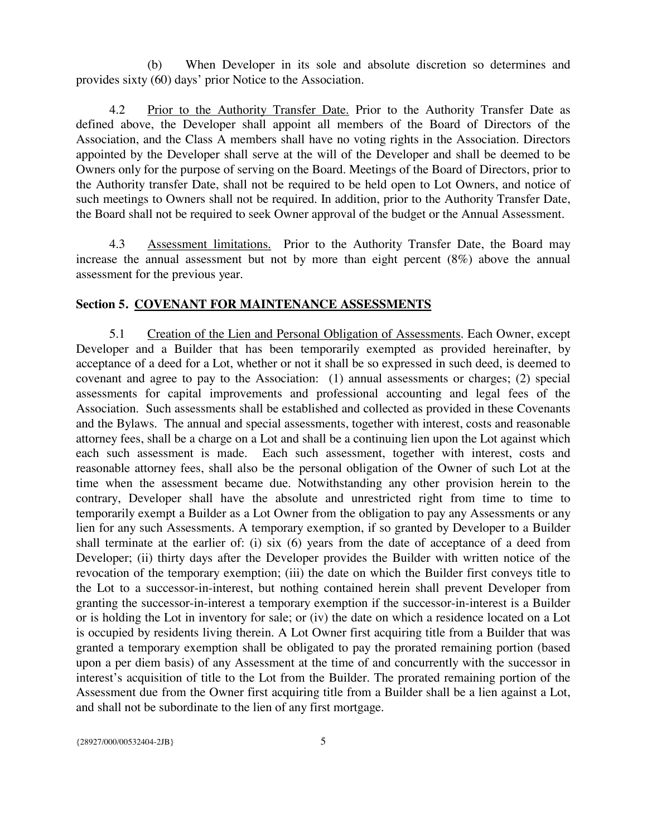(b) When Developer in its sole and absolute discretion so determines and provides sixty (60) days' prior Notice to the Association.

4.2 Prior to the Authority Transfer Date. Prior to the Authority Transfer Date as defined above, the Developer shall appoint all members of the Board of Directors of the Association, and the Class A members shall have no voting rights in the Association. Directors appointed by the Developer shall serve at the will of the Developer and shall be deemed to be Owners only for the purpose of serving on the Board. Meetings of the Board of Directors, prior to the Authority transfer Date, shall not be required to be held open to Lot Owners, and notice of such meetings to Owners shall not be required. In addition, prior to the Authority Transfer Date, the Board shall not be required to seek Owner approval of the budget or the Annual Assessment.

4.3 Assessment limitations. Prior to the Authority Transfer Date, the Board may increase the annual assessment but not by more than eight percent (8%) above the annual assessment for the previous year.

#### **Section 5. COVENANT FOR MAINTENANCE ASSESSMENTS**

5.1 Creation of the Lien and Personal Obligation of Assessments. Each Owner, except Developer and a Builder that has been temporarily exempted as provided hereinafter, by acceptance of a deed for a Lot, whether or not it shall be so expressed in such deed, is deemed to covenant and agree to pay to the Association: (1) annual assessments or charges; (2) special assessments for capital improvements and professional accounting and legal fees of the Association. Such assessments shall be established and collected as provided in these Covenants and the Bylaws. The annual and special assessments, together with interest, costs and reasonable attorney fees, shall be a charge on a Lot and shall be a continuing lien upon the Lot against which each such assessment is made. Each such assessment, together with interest, costs and reasonable attorney fees, shall also be the personal obligation of the Owner of such Lot at the time when the assessment became due. Notwithstanding any other provision herein to the contrary, Developer shall have the absolute and unrestricted right from time to time to temporarily exempt a Builder as a Lot Owner from the obligation to pay any Assessments or any lien for any such Assessments. A temporary exemption, if so granted by Developer to a Builder shall terminate at the earlier of: (i) six (6) years from the date of acceptance of a deed from Developer; (ii) thirty days after the Developer provides the Builder with written notice of the revocation of the temporary exemption; (iii) the date on which the Builder first conveys title to the Lot to a successor-in-interest, but nothing contained herein shall prevent Developer from granting the successor-in-interest a temporary exemption if the successor-in-interest is a Builder or is holding the Lot in inventory for sale; or (iv) the date on which a residence located on a Lot is occupied by residents living therein. A Lot Owner first acquiring title from a Builder that was granted a temporary exemption shall be obligated to pay the prorated remaining portion (based upon a per diem basis) of any Assessment at the time of and concurrently with the successor in interest's acquisition of title to the Lot from the Builder. The prorated remaining portion of the Assessment due from the Owner first acquiring title from a Builder shall be a lien against a Lot, and shall not be subordinate to the lien of any first mortgage.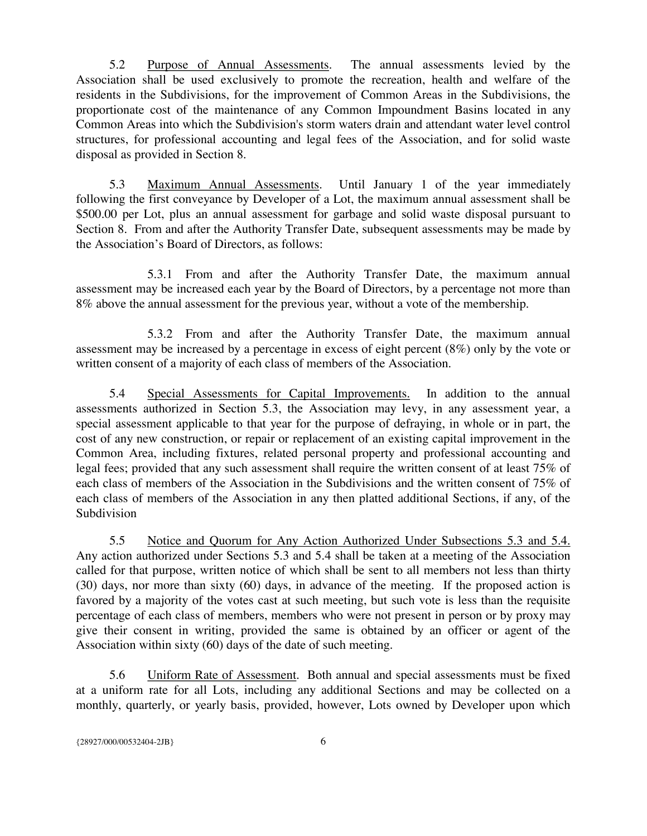5.2 Purpose of Annual Assessments. The annual assessments levied by the Association shall be used exclusively to promote the recreation, health and welfare of the residents in the Subdivisions, for the improvement of Common Areas in the Subdivisions, the proportionate cost of the maintenance of any Common Impoundment Basins located in any Common Areas into which the Subdivision's storm waters drain and attendant water level control structures, for professional accounting and legal fees of the Association, and for solid waste disposal as provided in Section 8.

5.3 Maximum Annual Assessments. Until January 1 of the year immediately following the first conveyance by Developer of a Lot, the maximum annual assessment shall be \$500.00 per Lot, plus an annual assessment for garbage and solid waste disposal pursuant to Section 8. From and after the Authority Transfer Date, subsequent assessments may be made by the Association's Board of Directors, as follows:

5.3.1 From and after the Authority Transfer Date, the maximum annual assessment may be increased each year by the Board of Directors, by a percentage not more than 8% above the annual assessment for the previous year, without a vote of the membership.

5.3.2 From and after the Authority Transfer Date, the maximum annual assessment may be increased by a percentage in excess of eight percent (8%) only by the vote or written consent of a majority of each class of members of the Association.

5.4 Special Assessments for Capital Improvements. In addition to the annual assessments authorized in Section 5.3, the Association may levy, in any assessment year, a special assessment applicable to that year for the purpose of defraying, in whole or in part, the cost of any new construction, or repair or replacement of an existing capital improvement in the Common Area, including fixtures, related personal property and professional accounting and legal fees; provided that any such assessment shall require the written consent of at least 75% of each class of members of the Association in the Subdivisions and the written consent of 75% of each class of members of the Association in any then platted additional Sections, if any, of the Subdivision

5.5 Notice and Quorum for Any Action Authorized Under Subsections 5.3 and 5.4. Any action authorized under Sections 5.3 and 5.4 shall be taken at a meeting of the Association called for that purpose, written notice of which shall be sent to all members not less than thirty (30) days, nor more than sixty (60) days, in advance of the meeting. If the proposed action is favored by a majority of the votes cast at such meeting, but such vote is less than the requisite percentage of each class of members, members who were not present in person or by proxy may give their consent in writing, provided the same is obtained by an officer or agent of the Association within sixty (60) days of the date of such meeting.

5.6 Uniform Rate of Assessment. Both annual and special assessments must be fixed at a uniform rate for all Lots, including any additional Sections and may be collected on a monthly, quarterly, or yearly basis, provided, however, Lots owned by Developer upon which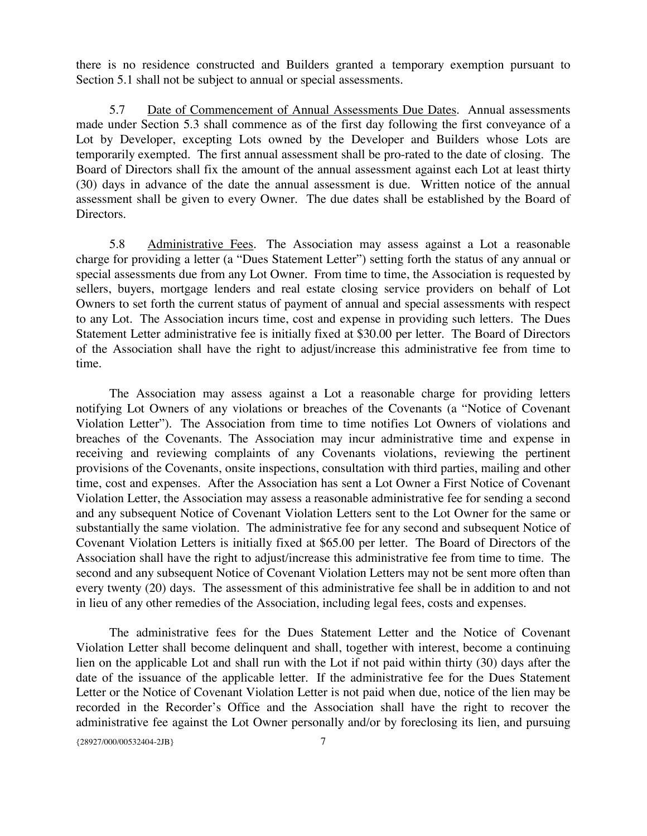there is no residence constructed and Builders granted a temporary exemption pursuant to Section 5.1 shall not be subject to annual or special assessments.

5.7 Date of Commencement of Annual Assessments Due Dates. Annual assessments made under Section 5.3 shall commence as of the first day following the first conveyance of a Lot by Developer, excepting Lots owned by the Developer and Builders whose Lots are temporarily exempted. The first annual assessment shall be pro-rated to the date of closing. The Board of Directors shall fix the amount of the annual assessment against each Lot at least thirty (30) days in advance of the date the annual assessment is due. Written notice of the annual assessment shall be given to every Owner. The due dates shall be established by the Board of Directors.

5.8 Administrative Fees. The Association may assess against a Lot a reasonable charge for providing a letter (a "Dues Statement Letter") setting forth the status of any annual or special assessments due from any Lot Owner. From time to time, the Association is requested by sellers, buyers, mortgage lenders and real estate closing service providers on behalf of Lot Owners to set forth the current status of payment of annual and special assessments with respect to any Lot. The Association incurs time, cost and expense in providing such letters. The Dues Statement Letter administrative fee is initially fixed at \$30.00 per letter. The Board of Directors of the Association shall have the right to adjust/increase this administrative fee from time to time.

The Association may assess against a Lot a reasonable charge for providing letters notifying Lot Owners of any violations or breaches of the Covenants (a "Notice of Covenant Violation Letter"). The Association from time to time notifies Lot Owners of violations and breaches of the Covenants. The Association may incur administrative time and expense in receiving and reviewing complaints of any Covenants violations, reviewing the pertinent provisions of the Covenants, onsite inspections, consultation with third parties, mailing and other time, cost and expenses. After the Association has sent a Lot Owner a First Notice of Covenant Violation Letter, the Association may assess a reasonable administrative fee for sending a second and any subsequent Notice of Covenant Violation Letters sent to the Lot Owner for the same or substantially the same violation. The administrative fee for any second and subsequent Notice of Covenant Violation Letters is initially fixed at \$65.00 per letter. The Board of Directors of the Association shall have the right to adjust/increase this administrative fee from time to time. The second and any subsequent Notice of Covenant Violation Letters may not be sent more often than every twenty (20) days. The assessment of this administrative fee shall be in addition to and not in lieu of any other remedies of the Association, including legal fees, costs and expenses.

The administrative fees for the Dues Statement Letter and the Notice of Covenant Violation Letter shall become delinquent and shall, together with interest, become a continuing lien on the applicable Lot and shall run with the Lot if not paid within thirty (30) days after the date of the issuance of the applicable letter. If the administrative fee for the Dues Statement Letter or the Notice of Covenant Violation Letter is not paid when due, notice of the lien may be recorded in the Recorder's Office and the Association shall have the right to recover the administrative fee against the Lot Owner personally and/or by foreclosing its lien, and pursuing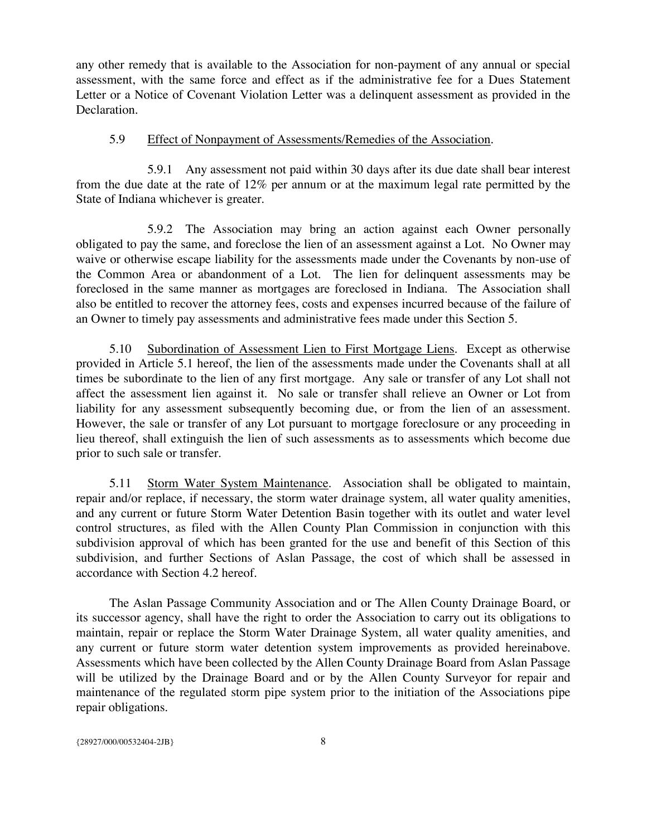any other remedy that is available to the Association for non-payment of any annual or special assessment, with the same force and effect as if the administrative fee for a Dues Statement Letter or a Notice of Covenant Violation Letter was a delinquent assessment as provided in the Declaration.

### 5.9 Effect of Nonpayment of Assessments/Remedies of the Association.

5.9.1 Any assessment not paid within 30 days after its due date shall bear interest from the due date at the rate of 12% per annum or at the maximum legal rate permitted by the State of Indiana whichever is greater.

5.9.2 The Association may bring an action against each Owner personally obligated to pay the same, and foreclose the lien of an assessment against a Lot. No Owner may waive or otherwise escape liability for the assessments made under the Covenants by non-use of the Common Area or abandonment of a Lot. The lien for delinquent assessments may be foreclosed in the same manner as mortgages are foreclosed in Indiana. The Association shall also be entitled to recover the attorney fees, costs and expenses incurred because of the failure of an Owner to timely pay assessments and administrative fees made under this Section 5.

5.10 Subordination of Assessment Lien to First Mortgage Liens. Except as otherwise provided in Article 5.1 hereof, the lien of the assessments made under the Covenants shall at all times be subordinate to the lien of any first mortgage. Any sale or transfer of any Lot shall not affect the assessment lien against it. No sale or transfer shall relieve an Owner or Lot from liability for any assessment subsequently becoming due, or from the lien of an assessment. However, the sale or transfer of any Lot pursuant to mortgage foreclosure or any proceeding in lieu thereof, shall extinguish the lien of such assessments as to assessments which become due prior to such sale or transfer.

5.11 Storm Water System Maintenance. Association shall be obligated to maintain, repair and/or replace, if necessary, the storm water drainage system, all water quality amenities, and any current or future Storm Water Detention Basin together with its outlet and water level control structures, as filed with the Allen County Plan Commission in conjunction with this subdivision approval of which has been granted for the use and benefit of this Section of this subdivision, and further Sections of Aslan Passage, the cost of which shall be assessed in accordance with Section 4.2 hereof.

The Aslan Passage Community Association and or The Allen County Drainage Board, or its successor agency, shall have the right to order the Association to carry out its obligations to maintain, repair or replace the Storm Water Drainage System, all water quality amenities, and any current or future storm water detention system improvements as provided hereinabove. Assessments which have been collected by the Allen County Drainage Board from Aslan Passage will be utilized by the Drainage Board and or by the Allen County Surveyor for repair and maintenance of the regulated storm pipe system prior to the initiation of the Associations pipe repair obligations.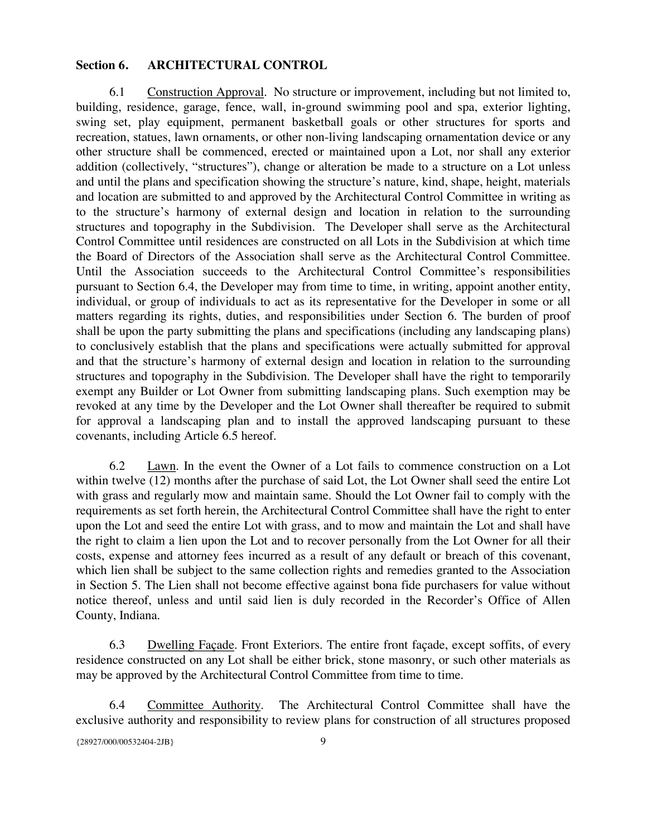### **Section 6. ARCHITECTURAL CONTROL**

6.1 Construction Approval. No structure or improvement, including but not limited to, building, residence, garage, fence, wall, in-ground swimming pool and spa, exterior lighting, swing set, play equipment, permanent basketball goals or other structures for sports and recreation, statues, lawn ornaments, or other non-living landscaping ornamentation device or any other structure shall be commenced, erected or maintained upon a Lot, nor shall any exterior addition (collectively, "structures"), change or alteration be made to a structure on a Lot unless and until the plans and specification showing the structure's nature, kind, shape, height, materials and location are submitted to and approved by the Architectural Control Committee in writing as to the structure's harmony of external design and location in relation to the surrounding structures and topography in the Subdivision. The Developer shall serve as the Architectural Control Committee until residences are constructed on all Lots in the Subdivision at which time the Board of Directors of the Association shall serve as the Architectural Control Committee. Until the Association succeeds to the Architectural Control Committee's responsibilities pursuant to Section 6.4, the Developer may from time to time, in writing, appoint another entity, individual, or group of individuals to act as its representative for the Developer in some or all matters regarding its rights, duties, and responsibilities under Section 6. The burden of proof shall be upon the party submitting the plans and specifications (including any landscaping plans) to conclusively establish that the plans and specifications were actually submitted for approval and that the structure's harmony of external design and location in relation to the surrounding structures and topography in the Subdivision. The Developer shall have the right to temporarily exempt any Builder or Lot Owner from submitting landscaping plans. Such exemption may be revoked at any time by the Developer and the Lot Owner shall thereafter be required to submit for approval a landscaping plan and to install the approved landscaping pursuant to these covenants, including Article 6.5 hereof.

6.2 Lawn. In the event the Owner of a Lot fails to commence construction on a Lot within twelve (12) months after the purchase of said Lot, the Lot Owner shall seed the entire Lot with grass and regularly mow and maintain same. Should the Lot Owner fail to comply with the requirements as set forth herein, the Architectural Control Committee shall have the right to enter upon the Lot and seed the entire Lot with grass, and to mow and maintain the Lot and shall have the right to claim a lien upon the Lot and to recover personally from the Lot Owner for all their costs, expense and attorney fees incurred as a result of any default or breach of this covenant, which lien shall be subject to the same collection rights and remedies granted to the Association in Section 5. The Lien shall not become effective against bona fide purchasers for value without notice thereof, unless and until said lien is duly recorded in the Recorder's Office of Allen County, Indiana.

6.3 Dwelling Façade. Front Exteriors. The entire front façade, except soffits, of every residence constructed on any Lot shall be either brick, stone masonry, or such other materials as may be approved by the Architectural Control Committee from time to time.

6.4 Committee Authority. The Architectural Control Committee shall have the exclusive authority and responsibility to review plans for construction of all structures proposed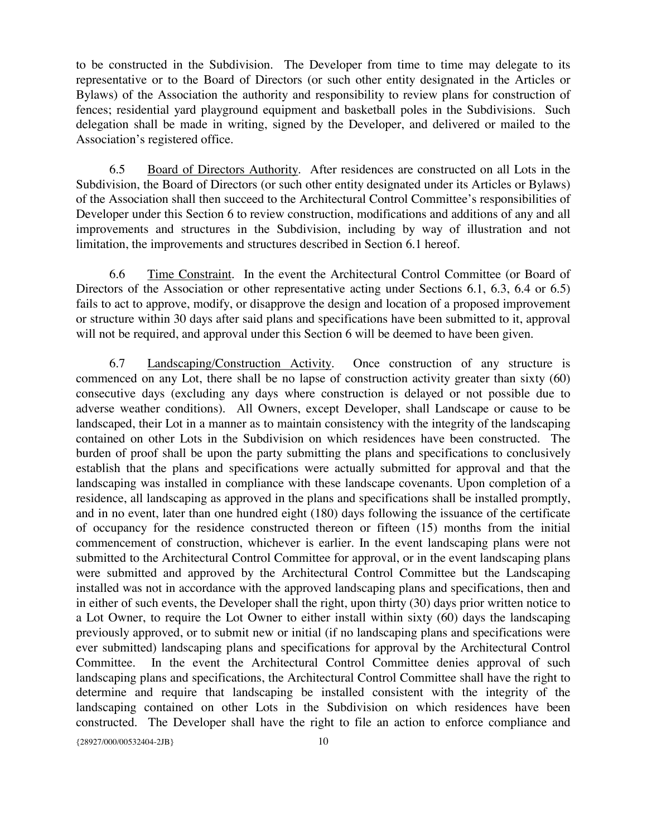to be constructed in the Subdivision. The Developer from time to time may delegate to its representative or to the Board of Directors (or such other entity designated in the Articles or Bylaws) of the Association the authority and responsibility to review plans for construction of fences; residential yard playground equipment and basketball poles in the Subdivisions. Such delegation shall be made in writing, signed by the Developer, and delivered or mailed to the Association's registered office.

6.5 Board of Directors Authority. After residences are constructed on all Lots in the Subdivision, the Board of Directors (or such other entity designated under its Articles or Bylaws) of the Association shall then succeed to the Architectural Control Committee's responsibilities of Developer under this Section 6 to review construction, modifications and additions of any and all improvements and structures in the Subdivision, including by way of illustration and not limitation, the improvements and structures described in Section 6.1 hereof.

6.6 Time Constraint. In the event the Architectural Control Committee (or Board of Directors of the Association or other representative acting under Sections 6.1, 6.3, 6.4 or 6.5) fails to act to approve, modify, or disapprove the design and location of a proposed improvement or structure within 30 days after said plans and specifications have been submitted to it, approval will not be required, and approval under this Section 6 will be deemed to have been given.

6.7 Landscaping/Construction Activity. Once construction of any structure is commenced on any Lot, there shall be no lapse of construction activity greater than sixty (60) consecutive days (excluding any days where construction is delayed or not possible due to adverse weather conditions). All Owners, except Developer, shall Landscape or cause to be landscaped, their Lot in a manner as to maintain consistency with the integrity of the landscaping contained on other Lots in the Subdivision on which residences have been constructed. The burden of proof shall be upon the party submitting the plans and specifications to conclusively establish that the plans and specifications were actually submitted for approval and that the landscaping was installed in compliance with these landscape covenants. Upon completion of a residence, all landscaping as approved in the plans and specifications shall be installed promptly, and in no event, later than one hundred eight (180) days following the issuance of the certificate of occupancy for the residence constructed thereon or fifteen (15) months from the initial commencement of construction, whichever is earlier. In the event landscaping plans were not submitted to the Architectural Control Committee for approval, or in the event landscaping plans were submitted and approved by the Architectural Control Committee but the Landscaping installed was not in accordance with the approved landscaping plans and specifications, then and in either of such events, the Developer shall the right, upon thirty (30) days prior written notice to a Lot Owner, to require the Lot Owner to either install within sixty (60) days the landscaping previously approved, or to submit new or initial (if no landscaping plans and specifications were ever submitted) landscaping plans and specifications for approval by the Architectural Control Committee. In the event the Architectural Control Committee denies approval of such landscaping plans and specifications, the Architectural Control Committee shall have the right to determine and require that landscaping be installed consistent with the integrity of the landscaping contained on other Lots in the Subdivision on which residences have been constructed. The Developer shall have the right to file an action to enforce compliance and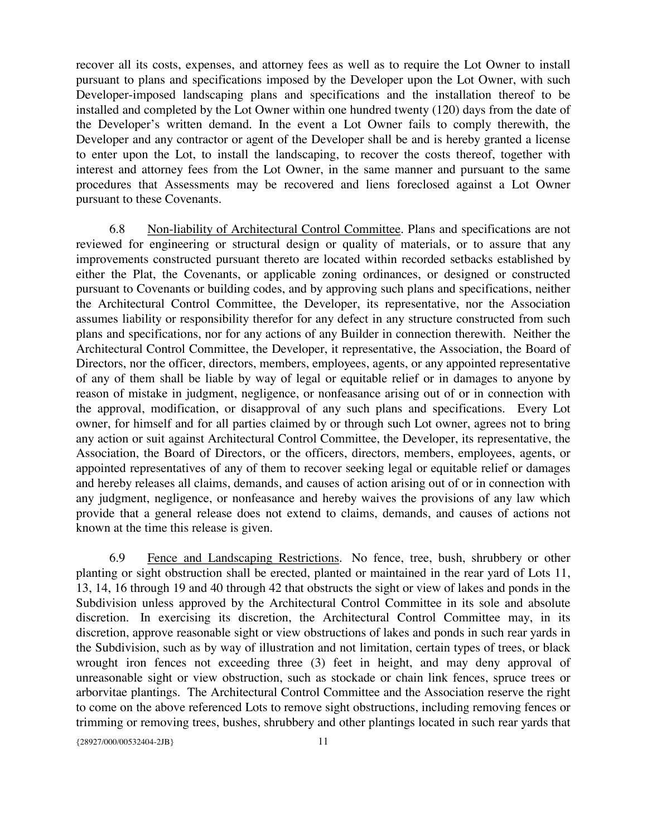recover all its costs, expenses, and attorney fees as well as to require the Lot Owner to install pursuant to plans and specifications imposed by the Developer upon the Lot Owner, with such Developer-imposed landscaping plans and specifications and the installation thereof to be installed and completed by the Lot Owner within one hundred twenty (120) days from the date of the Developer's written demand. In the event a Lot Owner fails to comply therewith, the Developer and any contractor or agent of the Developer shall be and is hereby granted a license to enter upon the Lot, to install the landscaping, to recover the costs thereof, together with interest and attorney fees from the Lot Owner, in the same manner and pursuant to the same procedures that Assessments may be recovered and liens foreclosed against a Lot Owner pursuant to these Covenants.

6.8 Non-liability of Architectural Control Committee. Plans and specifications are not reviewed for engineering or structural design or quality of materials, or to assure that any improvements constructed pursuant thereto are located within recorded setbacks established by either the Plat, the Covenants, or applicable zoning ordinances, or designed or constructed pursuant to Covenants or building codes, and by approving such plans and specifications, neither the Architectural Control Committee, the Developer, its representative, nor the Association assumes liability or responsibility therefor for any defect in any structure constructed from such plans and specifications, nor for any actions of any Builder in connection therewith. Neither the Architectural Control Committee, the Developer, it representative, the Association, the Board of Directors, nor the officer, directors, members, employees, agents, or any appointed representative of any of them shall be liable by way of legal or equitable relief or in damages to anyone by reason of mistake in judgment, negligence, or nonfeasance arising out of or in connection with the approval, modification, or disapproval of any such plans and specifications. Every Lot owner, for himself and for all parties claimed by or through such Lot owner, agrees not to bring any action or suit against Architectural Control Committee, the Developer, its representative, the Association, the Board of Directors, or the officers, directors, members, employees, agents, or appointed representatives of any of them to recover seeking legal or equitable relief or damages and hereby releases all claims, demands, and causes of action arising out of or in connection with any judgment, negligence, or nonfeasance and hereby waives the provisions of any law which provide that a general release does not extend to claims, demands, and causes of actions not known at the time this release is given.

6.9 Fence and Landscaping Restrictions. No fence, tree, bush, shrubbery or other planting or sight obstruction shall be erected, planted or maintained in the rear yard of Lots 11, 13, 14, 16 through 19 and 40 through 42 that obstructs the sight or view of lakes and ponds in the Subdivision unless approved by the Architectural Control Committee in its sole and absolute discretion. In exercising its discretion, the Architectural Control Committee may, in its discretion, approve reasonable sight or view obstructions of lakes and ponds in such rear yards in the Subdivision, such as by way of illustration and not limitation, certain types of trees, or black wrought iron fences not exceeding three (3) feet in height, and may deny approval of unreasonable sight or view obstruction, such as stockade or chain link fences, spruce trees or arborvitae plantings. The Architectural Control Committee and the Association reserve the right to come on the above referenced Lots to remove sight obstructions, including removing fences or trimming or removing trees, bushes, shrubbery and other plantings located in such rear yards that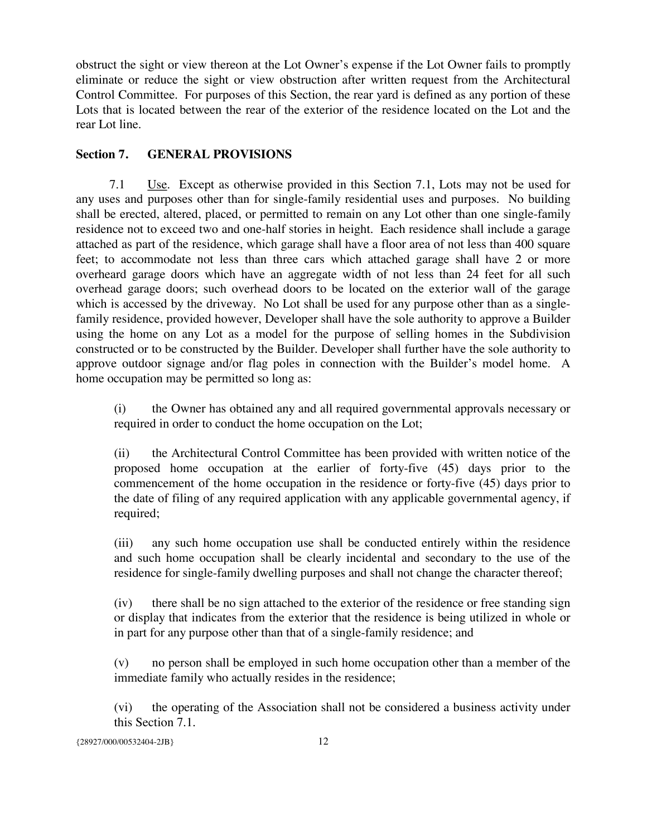obstruct the sight or view thereon at the Lot Owner's expense if the Lot Owner fails to promptly eliminate or reduce the sight or view obstruction after written request from the Architectural Control Committee. For purposes of this Section, the rear yard is defined as any portion of these Lots that is located between the rear of the exterior of the residence located on the Lot and the rear Lot line.

## **Section 7. GENERAL PROVISIONS**

7.1 Use. Except as otherwise provided in this Section 7.1, Lots may not be used for any uses and purposes other than for single-family residential uses and purposes. No building shall be erected, altered, placed, or permitted to remain on any Lot other than one single-family residence not to exceed two and one-half stories in height. Each residence shall include a garage attached as part of the residence, which garage shall have a floor area of not less than 400 square feet; to accommodate not less than three cars which attached garage shall have 2 or more overheard garage doors which have an aggregate width of not less than 24 feet for all such overhead garage doors; such overhead doors to be located on the exterior wall of the garage which is accessed by the driveway. No Lot shall be used for any purpose other than as a singlefamily residence, provided however, Developer shall have the sole authority to approve a Builder using the home on any Lot as a model for the purpose of selling homes in the Subdivision constructed or to be constructed by the Builder. Developer shall further have the sole authority to approve outdoor signage and/or flag poles in connection with the Builder's model home. A home occupation may be permitted so long as:

(i) the Owner has obtained any and all required governmental approvals necessary or required in order to conduct the home occupation on the Lot;

(ii) the Architectural Control Committee has been provided with written notice of the proposed home occupation at the earlier of forty-five (45) days prior to the commencement of the home occupation in the residence or forty-five (45) days prior to the date of filing of any required application with any applicable governmental agency, if required;

(iii) any such home occupation use shall be conducted entirely within the residence and such home occupation shall be clearly incidental and secondary to the use of the residence for single-family dwelling purposes and shall not change the character thereof;

(iv) there shall be no sign attached to the exterior of the residence or free standing sign or display that indicates from the exterior that the residence is being utilized in whole or in part for any purpose other than that of a single-family residence; and

(v) no person shall be employed in such home occupation other than a member of the immediate family who actually resides in the residence;

(vi) the operating of the Association shall not be considered a business activity under this Section 7.1.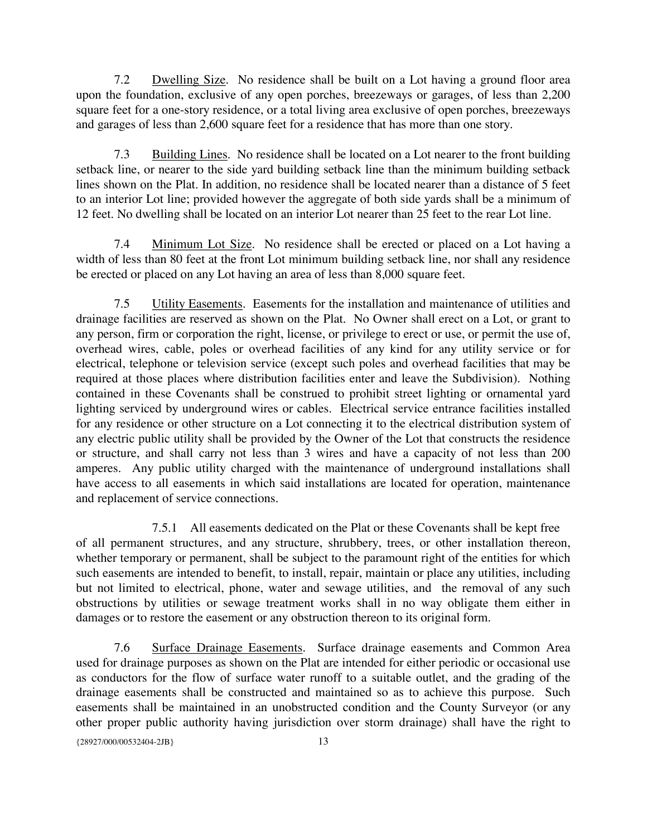7.2 Dwelling Size. No residence shall be built on a Lot having a ground floor area upon the foundation, exclusive of any open porches, breezeways or garages, of less than 2,200 square feet for a one-story residence, or a total living area exclusive of open porches, breezeways and garages of less than 2,600 square feet for a residence that has more than one story.

7.3 Building Lines. No residence shall be located on a Lot nearer to the front building setback line, or nearer to the side yard building setback line than the minimum building setback lines shown on the Plat. In addition, no residence shall be located nearer than a distance of 5 feet to an interior Lot line; provided however the aggregate of both side yards shall be a minimum of 12 feet. No dwelling shall be located on an interior Lot nearer than 25 feet to the rear Lot line.

7.4 Minimum Lot Size. No residence shall be erected or placed on a Lot having a width of less than 80 feet at the front Lot minimum building setback line, nor shall any residence be erected or placed on any Lot having an area of less than 8,000 square feet.

7.5 Utility Easements. Easements for the installation and maintenance of utilities and drainage facilities are reserved as shown on the Plat. No Owner shall erect on a Lot, or grant to any person, firm or corporation the right, license, or privilege to erect or use, or permit the use of, overhead wires, cable, poles or overhead facilities of any kind for any utility service or for electrical, telephone or television service (except such poles and overhead facilities that may be required at those places where distribution facilities enter and leave the Subdivision). Nothing contained in these Covenants shall be construed to prohibit street lighting or ornamental yard lighting serviced by underground wires or cables. Electrical service entrance facilities installed for any residence or other structure on a Lot connecting it to the electrical distribution system of any electric public utility shall be provided by the Owner of the Lot that constructs the residence or structure, and shall carry not less than 3 wires and have a capacity of not less than 200 amperes. Any public utility charged with the maintenance of underground installations shall have access to all easements in which said installations are located for operation, maintenance and replacement of service connections.

7.5.1 All easements dedicated on the Plat or these Covenants shall be kept free of all permanent structures, and any structure, shrubbery, trees, or other installation thereon, whether temporary or permanent, shall be subject to the paramount right of the entities for which such easements are intended to benefit, to install, repair, maintain or place any utilities, including but not limited to electrical, phone, water and sewage utilities, and the removal of any such obstructions by utilities or sewage treatment works shall in no way obligate them either in damages or to restore the easement or any obstruction thereon to its original form.

7.6 Surface Drainage Easements. Surface drainage easements and Common Area used for drainage purposes as shown on the Plat are intended for either periodic or occasional use as conductors for the flow of surface water runoff to a suitable outlet, and the grading of the drainage easements shall be constructed and maintained so as to achieve this purpose. Such easements shall be maintained in an unobstructed condition and the County Surveyor (or any other proper public authority having jurisdiction over storm drainage) shall have the right to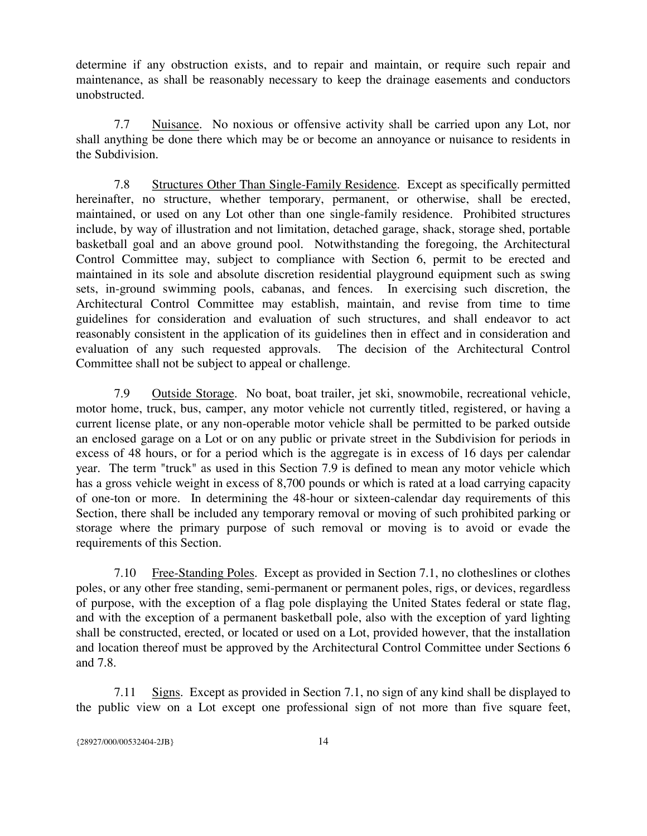determine if any obstruction exists, and to repair and maintain, or require such repair and maintenance, as shall be reasonably necessary to keep the drainage easements and conductors unobstructed.

7.7 Nuisance. No noxious or offensive activity shall be carried upon any Lot, nor shall anything be done there which may be or become an annoyance or nuisance to residents in the Subdivision.

7.8 Structures Other Than Single-Family Residence. Except as specifically permitted hereinafter, no structure, whether temporary, permanent, or otherwise, shall be erected, maintained, or used on any Lot other than one single-family residence. Prohibited structures include, by way of illustration and not limitation, detached garage, shack, storage shed, portable basketball goal and an above ground pool. Notwithstanding the foregoing, the Architectural Control Committee may, subject to compliance with Section 6, permit to be erected and maintained in its sole and absolute discretion residential playground equipment such as swing sets, in-ground swimming pools, cabanas, and fences. In exercising such discretion, the Architectural Control Committee may establish, maintain, and revise from time to time guidelines for consideration and evaluation of such structures, and shall endeavor to act reasonably consistent in the application of its guidelines then in effect and in consideration and evaluation of any such requested approvals. The decision of the Architectural Control Committee shall not be subject to appeal or challenge.

7.9 Outside Storage. No boat, boat trailer, jet ski, snowmobile, recreational vehicle, motor home, truck, bus, camper, any motor vehicle not currently titled, registered, or having a current license plate, or any non-operable motor vehicle shall be permitted to be parked outside an enclosed garage on a Lot or on any public or private street in the Subdivision for periods in excess of 48 hours, or for a period which is the aggregate is in excess of 16 days per calendar year. The term "truck" as used in this Section 7.9 is defined to mean any motor vehicle which has a gross vehicle weight in excess of 8,700 pounds or which is rated at a load carrying capacity of one-ton or more. In determining the 48-hour or sixteen-calendar day requirements of this Section, there shall be included any temporary removal or moving of such prohibited parking or storage where the primary purpose of such removal or moving is to avoid or evade the requirements of this Section.

7.10 Free-Standing Poles. Except as provided in Section 7.1, no clotheslines or clothes poles, or any other free standing, semi-permanent or permanent poles, rigs, or devices, regardless of purpose, with the exception of a flag pole displaying the United States federal or state flag, and with the exception of a permanent basketball pole, also with the exception of yard lighting shall be constructed, erected, or located or used on a Lot, provided however, that the installation and location thereof must be approved by the Architectural Control Committee under Sections 6 and 7.8.

7.11 Signs. Except as provided in Section 7.1, no sign of any kind shall be displayed to the public view on a Lot except one professional sign of not more than five square feet,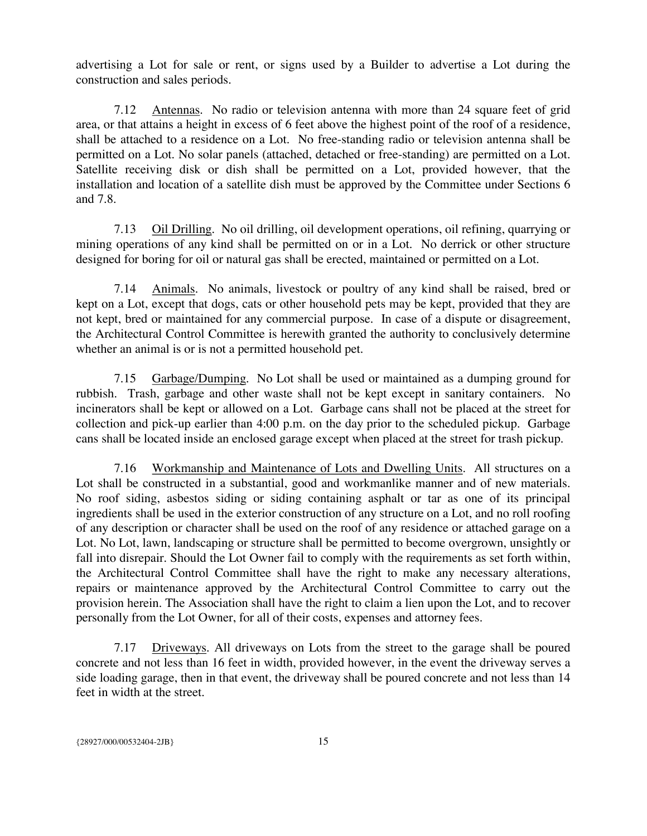advertising a Lot for sale or rent, or signs used by a Builder to advertise a Lot during the construction and sales periods.

7.12 Antennas. No radio or television antenna with more than 24 square feet of grid area, or that attains a height in excess of 6 feet above the highest point of the roof of a residence, shall be attached to a residence on a Lot. No free-standing radio or television antenna shall be permitted on a Lot. No solar panels (attached, detached or free-standing) are permitted on a Lot. Satellite receiving disk or dish shall be permitted on a Lot, provided however, that the installation and location of a satellite dish must be approved by the Committee under Sections 6 and 7.8.

7.13 Oil Drilling. No oil drilling, oil development operations, oil refining, quarrying or mining operations of any kind shall be permitted on or in a Lot. No derrick or other structure designed for boring for oil or natural gas shall be erected, maintained or permitted on a Lot.

7.14 Animals. No animals, livestock or poultry of any kind shall be raised, bred or kept on a Lot, except that dogs, cats or other household pets may be kept, provided that they are not kept, bred or maintained for any commercial purpose. In case of a dispute or disagreement, the Architectural Control Committee is herewith granted the authority to conclusively determine whether an animal is or is not a permitted household pet.

7.15 Garbage/Dumping. No Lot shall be used or maintained as a dumping ground for rubbish. Trash, garbage and other waste shall not be kept except in sanitary containers. No incinerators shall be kept or allowed on a Lot. Garbage cans shall not be placed at the street for collection and pick-up earlier than 4:00 p.m. on the day prior to the scheduled pickup. Garbage cans shall be located inside an enclosed garage except when placed at the street for trash pickup.

7.16 Workmanship and Maintenance of Lots and Dwelling Units. All structures on a Lot shall be constructed in a substantial, good and workmanlike manner and of new materials. No roof siding, asbestos siding or siding containing asphalt or tar as one of its principal ingredients shall be used in the exterior construction of any structure on a Lot, and no roll roofing of any description or character shall be used on the roof of any residence or attached garage on a Lot. No Lot, lawn, landscaping or structure shall be permitted to become overgrown, unsightly or fall into disrepair. Should the Lot Owner fail to comply with the requirements as set forth within, the Architectural Control Committee shall have the right to make any necessary alterations, repairs or maintenance approved by the Architectural Control Committee to carry out the provision herein. The Association shall have the right to claim a lien upon the Lot, and to recover personally from the Lot Owner, for all of their costs, expenses and attorney fees.

7.17 Driveways. All driveways on Lots from the street to the garage shall be poured concrete and not less than 16 feet in width, provided however, in the event the driveway serves a side loading garage, then in that event, the driveway shall be poured concrete and not less than 14 feet in width at the street.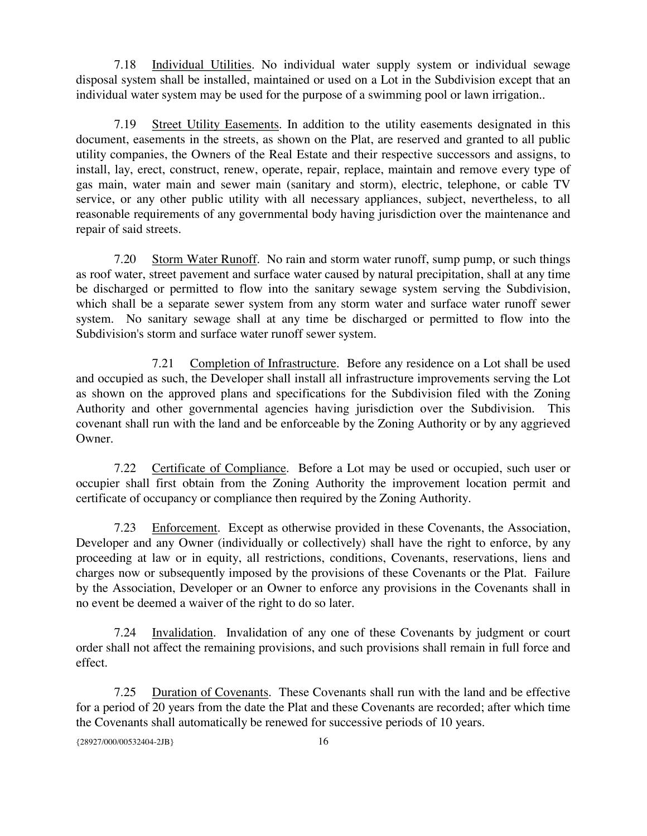7.18 Individual Utilities. No individual water supply system or individual sewage disposal system shall be installed, maintained or used on a Lot in the Subdivision except that an individual water system may be used for the purpose of a swimming pool or lawn irrigation..

7.19 Street Utility Easements. In addition to the utility easements designated in this document, easements in the streets, as shown on the Plat, are reserved and granted to all public utility companies, the Owners of the Real Estate and their respective successors and assigns, to install, lay, erect, construct, renew, operate, repair, replace, maintain and remove every type of gas main, water main and sewer main (sanitary and storm), electric, telephone, or cable TV service, or any other public utility with all necessary appliances, subject, nevertheless, to all reasonable requirements of any governmental body having jurisdiction over the maintenance and repair of said streets.

7.20 Storm Water Runoff. No rain and storm water runoff, sump pump, or such things as roof water, street pavement and surface water caused by natural precipitation, shall at any time be discharged or permitted to flow into the sanitary sewage system serving the Subdivision, which shall be a separate sewer system from any storm water and surface water runoff sewer system. No sanitary sewage shall at any time be discharged or permitted to flow into the Subdivision's storm and surface water runoff sewer system.

7.21 Completion of Infrastructure. Before any residence on a Lot shall be used and occupied as such, the Developer shall install all infrastructure improvements serving the Lot as shown on the approved plans and specifications for the Subdivision filed with the Zoning Authority and other governmental agencies having jurisdiction over the Subdivision. This covenant shall run with the land and be enforceable by the Zoning Authority or by any aggrieved Owner.

7.22 Certificate of Compliance. Before a Lot may be used or occupied, such user or occupier shall first obtain from the Zoning Authority the improvement location permit and certificate of occupancy or compliance then required by the Zoning Authority.

7.23 Enforcement. Except as otherwise provided in these Covenants, the Association, Developer and any Owner (individually or collectively) shall have the right to enforce, by any proceeding at law or in equity, all restrictions, conditions, Covenants, reservations, liens and charges now or subsequently imposed by the provisions of these Covenants or the Plat. Failure by the Association, Developer or an Owner to enforce any provisions in the Covenants shall in no event be deemed a waiver of the right to do so later.

7.24 Invalidation. Invalidation of any one of these Covenants by judgment or court order shall not affect the remaining provisions, and such provisions shall remain in full force and effect.

7.25 Duration of Covenants. These Covenants shall run with the land and be effective for a period of 20 years from the date the Plat and these Covenants are recorded; after which time the Covenants shall automatically be renewed for successive periods of 10 years.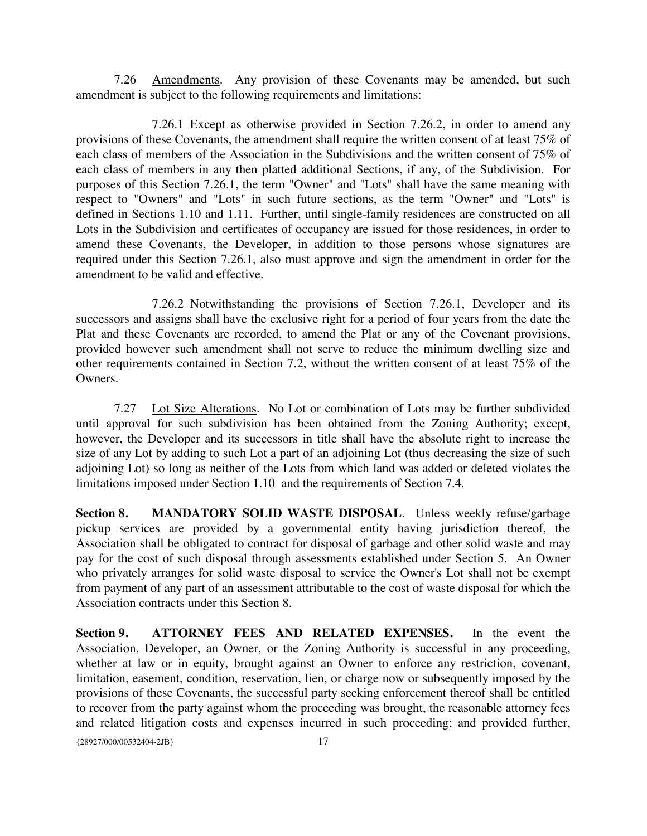7.26 Amendments. Any provision of these Covenants may be amended, but such amendment is subject to the following requirements and limitations:

7.26.1 Except as otherwise provided in Section 7.26.2, in order to amend any provisions of these Covenants, the amendment shall require the written consent of at least 75% of each class of members of the Association in the Subdivisions and the written consent of 75% of each class of members in any then platted additional Sections, if any, of the Subdivision. For purposes of this Section 7.26.1, the term "Owner" and "Lots" shall have the same meaning with respect to "Owners" and "Lots" in such future sections, as the term "Owner" and "Lots" is defined in Sections 1.10 and 1.11. Further, until single-family residences are constructed on all Lots in the Subdivision and certificates of occupancy are issued for those residences, in order to amend these Covenants, the Developer, in addition to those persons whose signatures are required under this Section 7.26.1, also must approve and sign the amendment in order for the amendment to be valid and effective.

7.26.2 Notwithstanding the provisions of Section 7.26.1, Developer and its successors and assigns shall have the exclusive right for a period of four years from the date the Plat and these Covenants are recorded, to amend the Plat or any of the Covenant provisions, provided however such amendment shall not serve to reduce the minimum dwelling size and other requirements contained in Section 7.2, without the written consent of at least 75% of the Owners.

7.27 Lot Size Alterations. No Lot or combination of Lots may be further subdivided until approval for such subdivision has been obtained from the Zoning Authority; except, however, the Developer and its successors in title shall have the absolute right to increase the size of any Lot by adding to such Lot a part of an adjoining Lot (thus decreasing the size of such adjoining Lot) so long as neither of the Lots from which land was added or deleted violates the limitations imposed under Section 1.10 and the requirements of Section 7.4.

**Section 8. MANDATORY SOLID WASTE DISPOSAL**. Unless weekly refuse/garbage pickup services are provided by a governmental entity having jurisdiction thereof, the Association shall be obligated to contract for disposal of garbage and other solid waste and may pay for the cost of such disposal through assessments established under Section 5. An Owner who privately arranges for solid waste disposal to service the Owner's Lot shall not be exempt from payment of any part of an assessment attributable to the cost of waste disposal for which the Association contracts under this Section 8.

**Section 9. ATTORNEY FEES AND RELATED EXPENSES.** In the event the Association, Developer, an Owner, or the Zoning Authority is successful in any proceeding, whether at law or in equity, brought against an Owner to enforce any restriction, covenant, limitation, easement, condition, reservation, lien, or charge now or subsequently imposed by the provisions of these Covenants, the successful party seeking enforcement thereof shall be entitled to recover from the party against whom the proceeding was brought, the reasonable attorney fees and related litigation costs and expenses incurred in such proceeding; and provided further,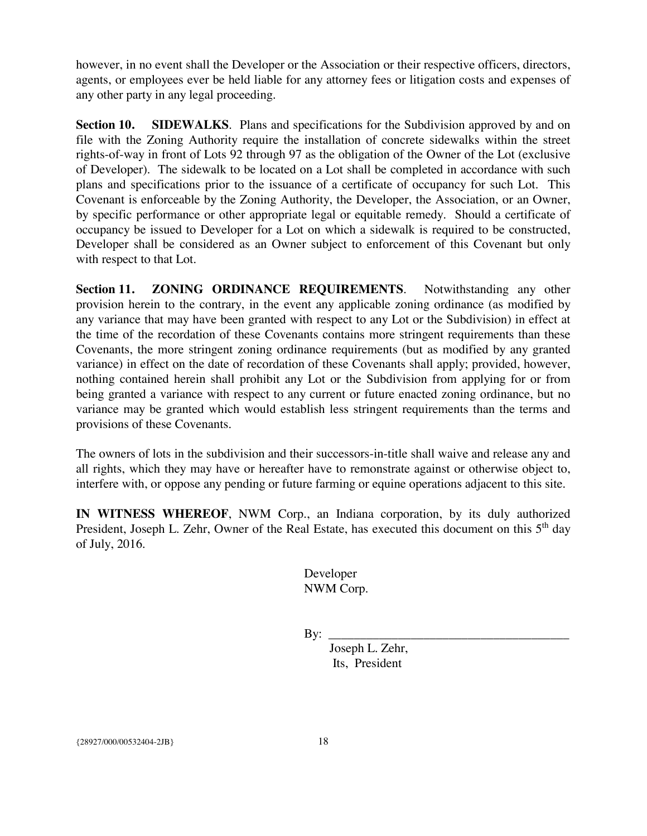however, in no event shall the Developer or the Association or their respective officers, directors, agents, or employees ever be held liable for any attorney fees or litigation costs and expenses of any other party in any legal proceeding.

**Section 10. SIDEWALKS**. Plans and specifications for the Subdivision approved by and on file with the Zoning Authority require the installation of concrete sidewalks within the street rights-of-way in front of Lots 92 through 97 as the obligation of the Owner of the Lot (exclusive of Developer). The sidewalk to be located on a Lot shall be completed in accordance with such plans and specifications prior to the issuance of a certificate of occupancy for such Lot. This Covenant is enforceable by the Zoning Authority, the Developer, the Association, or an Owner, by specific performance or other appropriate legal or equitable remedy. Should a certificate of occupancy be issued to Developer for a Lot on which a sidewalk is required to be constructed, Developer shall be considered as an Owner subject to enforcement of this Covenant but only with respect to that Lot.

**Section 11. ZONING ORDINANCE REQUIREMENTS**. Notwithstanding any other provision herein to the contrary, in the event any applicable zoning ordinance (as modified by any variance that may have been granted with respect to any Lot or the Subdivision) in effect at the time of the recordation of these Covenants contains more stringent requirements than these Covenants, the more stringent zoning ordinance requirements (but as modified by any granted variance) in effect on the date of recordation of these Covenants shall apply; provided, however, nothing contained herein shall prohibit any Lot or the Subdivision from applying for or from being granted a variance with respect to any current or future enacted zoning ordinance, but no variance may be granted which would establish less stringent requirements than the terms and provisions of these Covenants.

The owners of lots in the subdivision and their successors-in-title shall waive and release any and all rights, which they may have or hereafter have to remonstrate against or otherwise object to, interfere with, or oppose any pending or future farming or equine operations adjacent to this site.

**IN WITNESS WHEREOF**, NWM Corp., an Indiana corporation, by its duly authorized President, Joseph L. Zehr, Owner of the Real Estate, has executed this document on this 5<sup>th</sup> day of July, 2016.

> Developer NWM Corp.

By: \_\_\_\_\_\_\_\_\_\_\_\_\_\_\_\_\_\_\_\_\_\_\_\_\_\_\_\_\_\_\_\_\_\_\_\_\_\_

Joseph L. Zehr, Its, President